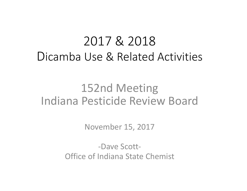# 2017 & 2018 Dicamba Use & Related Activities

# 152nd Meeting Indiana Pesticide Review Board

November 15, 2017

‐Dave Scott‐ Office of Indiana State Chemist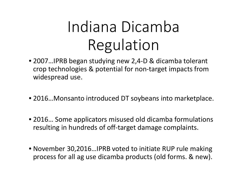# Indiana Dicamba Regulation

- 2007…IPRB began studying new 2,4‐D & dicamba tolerant crop technologies & potential for non‐target impacts from widespread use.
- 2016…Monsanto introduced DT soybeans into marketplace.
- 2016… Some applicators misused old dicamba formulations resulting in hundreds of off‐target damage complaints.
- November 30,2016…IPRB voted to initiate RUP rule making process for all ag use dicamba products (old forms. & new).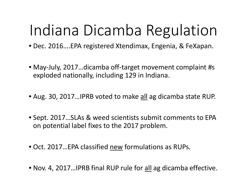# Indiana Dicamba Regulation

- Dec. 2016….EPA registered Xtendimax, Engenia, & FeXapan.
- May‐July, 2017…dicamba off‐target movement complaint #s exploded nationally, including 129 in Indiana.
- Aug. 30, 2017...IPRB voted to make <u>all</u> ag dicamba state RUP.
- Sept. 2017…SLAs & weed scientists submit comments to EPA on potential label fixes to the 2017 problem.
- Oct. 2017…EPA classified new formulations as RUPs.
- Nov. 4, 2017...IPRB final RUP rule for <u>all</u> ag dicamba effective.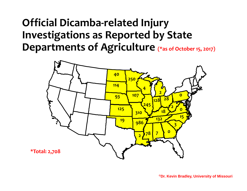## **Official Dicamba‐related Injury Investigations as Reported by State Departments of Agriculture (\*as of October 15, 2017)**

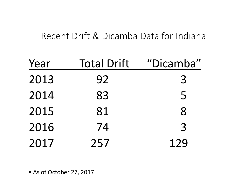#### Recent Drift & Dicamba Data for Indiana

| Year | <b>Total Drift</b> | "Dicamba" |
|------|--------------------|-----------|
| 2013 | 92                 | 3         |
| 2014 | 83                 | 5         |
| 2015 | 81                 | 8         |
| 2016 | 74                 | 3         |
| 2017 | 257                | 129       |

• As of October 27, 2017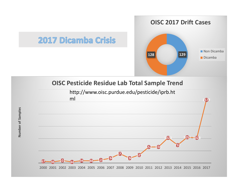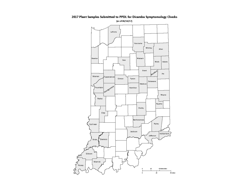

ر<br>تاريخ<br>م

2017 Plant Samples Submitted to PPDL for Dicamba Symptomology Checks [as of 08/14/17]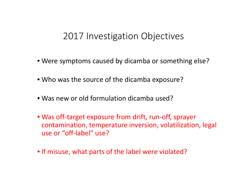#### 2017 Investigation Objectives

- Were symptoms caused by dicamba or something else?
- Who was the source of the dicamba exposure?
- Was new or old formulation dicamba used?
- Was off‐target exposure from drift, run‐off, sprayer contamination, temperature inversion, volatilization, legal use or "off‐label" use?
- If misuse, what parts of the label were violated?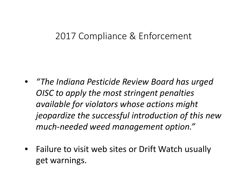#### 2017 Compliance & Enforcement

- *"The Indiana Pesticide Review Board has urged OISC to apply the most stringent penalties available for violators whose actions might jeopardize the successful introduction of this new much‐needed weed management option."*
- •• Failure to visit web sites or Drift Watch usually get warnings.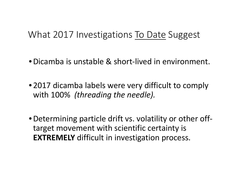#### What 2017 Investigations To Date Suggest

- •Dicamba is unstable & short‐lived in environment.
- 2017 dicamba labels were very difficult to comply with 100% *(threading the needle).*
- •Determining particle drift vs. volatility or other off‐ target movement with scientific certainty is **EXTREMELY** difficult in investigation process.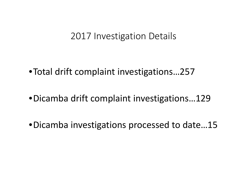#### 2017 Investigation Details

•Total drift complaint investigations…257

•Dicamba drift complaint investigations…129

•Dicamba investigations processed to date…15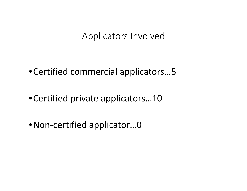Applicators Involved

•Certified commercial applicators…5

- •Certified private applicators…10
- •Non‐certified applicator…0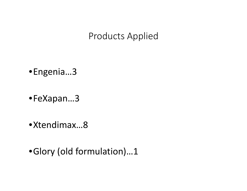#### Products Applied

- •Engenia…3
- •FeXapan…3
- •Xtendimax…8
- •Glory (old formulation)…1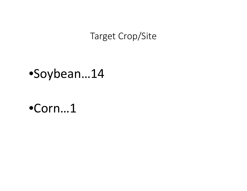#### Target Crop/Site

# •Soybean…14

•Corn…1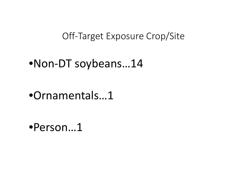Off‐Target Exposure Crop/Site

## •Non‐DT soybeans…14

•Ornamentals…1

•Person…1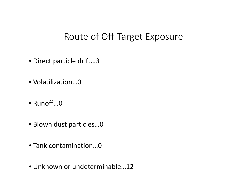#### Route of Off‐Target Exposure

- Direct particle drift…3
- Volatilization…0
- Runoff…0
- Blown dust particles…0
- Tank contamination…0
- Unknown or undeterminable…12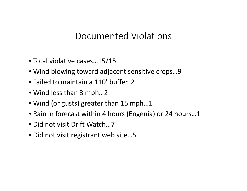#### Documented Violations

- Total violative cases…15/15
- Wind blowing toward adjacent sensitive crops…9
- Failed to maintain <sup>a</sup> 110' buffer..2
- Wind less than 3 mph…2
- Wind (or gusts) greater than 15 mph…1
- Rain in forecast within 4 hours (Engenia) or 24 hours…1
- Did not visit Drift Watch…7
- Did not visit registrant web site…5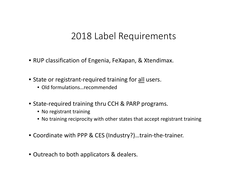#### 2018 Label Requirements

- RUP classification of Engenia, FeXapan, & Xtendimax.
- State or registrant-required training for all users.
	- Old formulations…recommended
- State‐required training thru CCH & PARP programs.
	- No registrant training
	- No training reciprocity with other states that accept registrant training
- Coordinate with PPP & CES (Industry?)…train‐the‐trainer.
- Outreach to both applicators & dealers.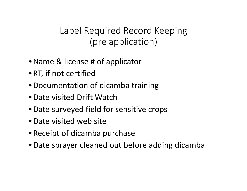### Label Required Record Keeping (pre application)

- •Name & license # of applicator
- •RT, if not certified
- •Documentation of dicamba training
- •Date visited Drift Watch
- •Date surveyed field for sensitive crops
- •Date visited web site
- •Receipt of dicamba purchase
- •Date sprayer cleaned out before adding dicamba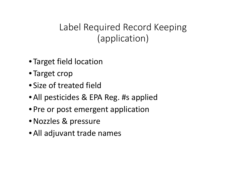Label Required Record Keeping (application)

- Target field location
- Target crop
- Size of treated field
- •All pesticides & EPA Reg. #s applied
- Pre or post emergent application
- •Nozzles & pressure
- •All adjuvant trade names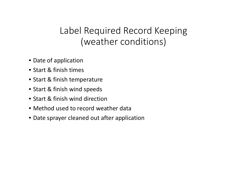### Label Required Record Keeping (weather conditions)

- Date of application
- Start & finish times
- Start & finish temperature
- Start & finish wind speeds
- Start & finish wind direction
- Method used to record weather data
- Date sprayer cleaned out after application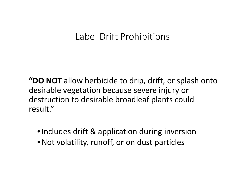### Label Drift Prohibitions

**"DO NOT** allow herbicide to drip, drift, or splash onto desirable vegetation because severe injury or destruction to desirable broadleaf plants could result."

- •Includes drift & application during inversion
- •Not volatility, runoff, or on dust particles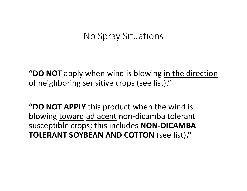#### No Spray Situations

**"DO NOT** apply when wind is blowing in the direction of <u>neighboring sensitive crops (see list).</u>"

**"DO NOT APPLY** this product when the wind is blowing toward adjacent non-dicamba tolerant susceptible crops; this includes **NON‐DICAMBA TOLERANT SOYBEAN AND COTTON** (see list)**."**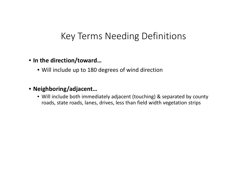#### Key Terms Needing Definitions

#### • **In the direction/toward…**

• Will include up to 180 degrees of wind direction

#### • **Neighboring/adjacent…**

• Will include both immediately adjacent (touching) & separated by county roads, state roads, lanes, drives, less than field width vegetation strips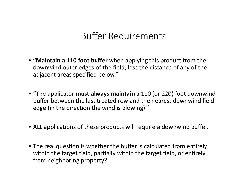#### Buffer Requirements

- **"Maintain <sup>a</sup> 110 foot buffer** when applying this product from the downwind outer edges of the field, less the distance of any of the adjacent areas specified below."
- "The applicator **must always maintain** <sup>a</sup> 110 (or 220) foot downwind buffer between the last treated row and the nearest downwind field edge (in the direction the wind is blowing)."
- <u>ALL</u> applications of these products will require a downwind buffer.
- The real question is whether the buffer is calculated from entirely within the target field, partially within the target field, or entirely from neighboring property?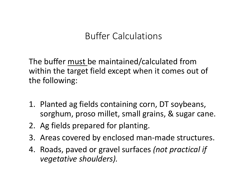#### Buffer Calculations

The buffer must be maintained/calculated from within the target field except when it comes out of the following:

- 1. Planted ag fields containing corn, DT soybeans, sorghum, proso millet, small grains, & sugar cane.
- 2. Ag fields prepared for planting.
- 3. Areas covered by enclosed man‐made structures.
- 4. Roads, paved or gravel surfaces *(not practical if vegetative shoulders).*